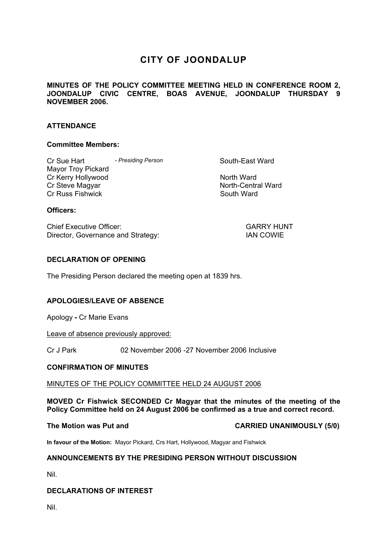# **CITY OF JOONDALUP**

# **MINUTES OF THE POLICY COMMITTEE MEETING HELD IN CONFERENCE ROOM 2, JOONDALUP CIVIC CENTRE, BOAS AVENUE, JOONDALUP THURSDAY 9 NOVEMBER 2006.**

# **ATTENDANCE**

#### **Committee Members:**

Cr Sue Hart **- Presiding Person Cr South-East Ward** Mayor Troy Pickard Cr Kerry Hollywood North Ward Cr Steve Magyar North-Central Ward Cr Russ Fishwick **South Ward** South Ward

## **Officers:**

Chief Executive Officer: GARRY HUNT Director, Governance and Strategy: IAN COWIE

## **DECLARATION OF OPENING**

The Presiding Person declared the meeting open at 1839 hrs.

# **APOLOGIES/LEAVE OF ABSENCE**

Apology **-** Cr Marie Evans

Leave of absence previously approved:

Cr J Park 02 November 2006 -27 November 2006 Inclusive

#### **CONFIRMATION OF MINUTES**

#### MINUTES OF THE POLICY COMMITTEE HELD 24 AUGUST 2006

**MOVED Cr Fishwick SECONDED Cr Magyar that the minutes of the meeting of the Policy Committee held on 24 August 2006 be confirmed as a true and correct record.** 

**The Motion was Put and CARRIED UNANIMOUSLY (5/0)** 

**In favour of the Motion:** Mayor Pickard, Crs Hart, Hollywood, Magyar and Fishwick

# **ANNOUNCEMENTS BY THE PRESIDING PERSON WITHOUT DISCUSSION**

Nil.

# **DECLARATIONS OF INTEREST**

Nil.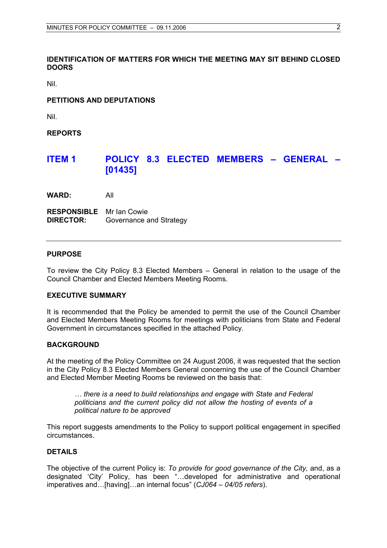# **IDENTIFICATION OF MATTERS FOR WHICH THE MEETING MAY SIT BEHIND CLOSED DOORS**

Nil.

# **PETITIONS AND DEPUTATIONS**

Nil.

**REPORTS** 

# **ITEM 1 POLICY 8.3 ELECTED MEMBERS – GENERAL – [01435]**

**WARD:** All

**RESPONSIBLE** Mr Ian Cowie **DIRECTOR:** Governance and Strategy

#### **PURPOSE**

To review the City Policy 8.3 Elected Members – General in relation to the usage of the Council Chamber and Elected Members Meeting Rooms.

#### **EXECUTIVE SUMMARY**

It is recommended that the Policy be amended to permit the use of the Council Chamber and Elected Members Meeting Rooms for meetings with politicians from State and Federal Government in circumstances specified in the attached Policy.

#### **BACKGROUND**

At the meeting of the Policy Committee on 24 August 2006, it was requested that the section in the City Policy 8.3 Elected Members General concerning the use of the Council Chamber and Elected Member Meeting Rooms be reviewed on the basis that:

*… there is a need to build relationships and engage with State and Federal politicians and the current policy did not allow the hosting of events of a political nature to be approved* 

This report suggests amendments to the Policy to support political engagement in specified circumstances.

# **DETAILS**

The objective of the current Policy is: *To provide for good governance of the City,* and, as a designated 'City' Policy, has been "…developed for administrative and operational imperatives and…[having]…an internal focus" (*CJ064 – 04/05 refers*).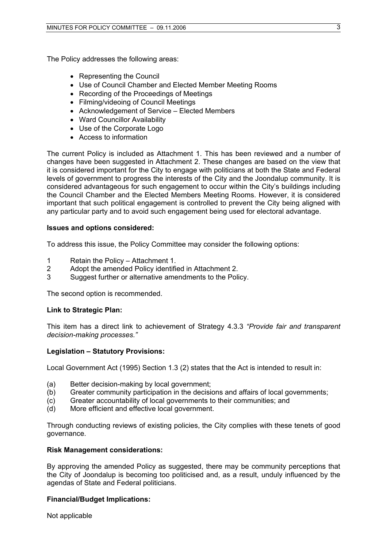The Policy addresses the following areas:

- Representing the Council
- Use of Council Chamber and Elected Member Meeting Rooms
- Recording of the Proceedings of Meetings
- Filming/videoing of Council Meetings
- Acknowledgement of Service Elected Members
- Ward Councillor Availability
- Use of the Corporate Logo
- Access to information

The current Policy is included as Attachment 1. This has been reviewed and a number of changes have been suggested in Attachment 2. These changes are based on the view that it is considered important for the City to engage with politicians at both the State and Federal levels of government to progress the interests of the City and the Joondalup community. It is considered advantageous for such engagement to occur within the City's buildings including the Council Chamber and the Elected Members Meeting Rooms. However, it is considered important that such political engagement is controlled to prevent the City being aligned with any particular party and to avoid such engagement being used for electoral advantage.

# **Issues and options considered:**

To address this issue, the Policy Committee may consider the following options:

- 1 Retain the Policy Attachment 1.
- 2 Adopt the amended Policy identified in Attachment 2.
- 3 Suggest further or alternative amendments to the Policy.

The second option is recommended.

# **Link to Strategic Plan:**

This item has a direct link to achievement of Strategy 4.3.3 *"Provide fair and transparent decision-making processes."* 

# **Legislation – Statutory Provisions:**

Local Government Act (1995) Section 1.3 (2) states that the Act is intended to result in:

- (a) Better decision-making by local government;
- (b) Greater community participation in the decisions and affairs of local governments;
- (c) Greater accountability of local governments to their communities; and
- (d) More efficient and effective local government.

Through conducting reviews of existing policies, the City complies with these tenets of good governance.

#### **Risk Management considerations:**

By approving the amended Policy as suggested, there may be community perceptions that the City of Joondalup is becoming too politicised and, as a result, unduly influenced by the agendas of State and Federal politicians.

# **Financial/Budget Implications:**

Not applicable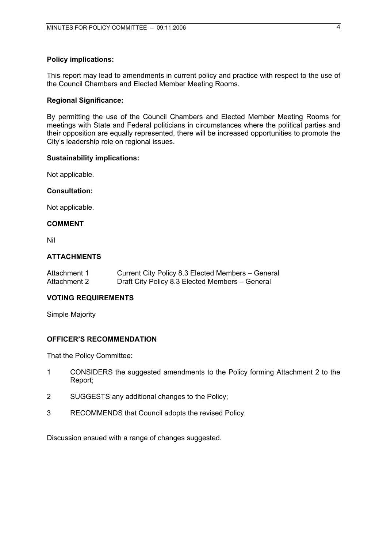#### **Policy implications:**

This report may lead to amendments in current policy and practice with respect to the use of the Council Chambers and Elected Member Meeting Rooms.

#### **Regional Significance:**

By permitting the use of the Council Chambers and Elected Member Meeting Rooms for meetings with State and Federal politicians in circumstances where the political parties and their opposition are equally represented, there will be increased opportunities to promote the City's leadership role on regional issues.

#### **Sustainability implications:**

Not applicable.

#### **Consultation:**

Not applicable.

#### **COMMENT**

Nil

#### **ATTACHMENTS**

| Attachment 1 | Current City Policy 8.3 Elected Members - General |
|--------------|---------------------------------------------------|
| Attachment 2 | Draft City Policy 8.3 Elected Members - General   |

#### **VOTING REQUIREMENTS**

Simple Majority

### **OFFICER'S RECOMMENDATION**

That the Policy Committee:

- 1 CONSIDERS the suggested amendments to the Policy forming Attachment 2 to the Report;
- 2 SUGGESTS any additional changes to the Policy;
- 3 RECOMMENDS that Council adopts the revised Policy.

Discussion ensued with a range of changes suggested.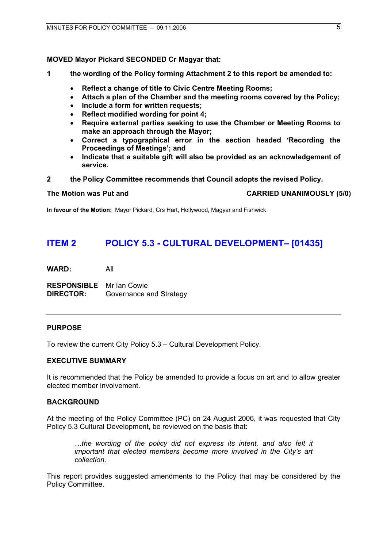# **MOVED Mayor Pickard SECONDED Cr Magyar that:**

- **1 the wording of the Policy forming Attachment 2 to this report be amended to:** 
	- **Reflect a change of title to Civic Centre Meeting Rooms;**
	- **Attach a plan of the Chamber and the meeting rooms covered by the Policy;**
	- **Include a form for written requests;**
	- **Reflect modified wording for point 4;**
	- **Require external parties seeking to use the Chamber or Meeting Rooms to make an approach through the Mayor;**
	- **Correct a typographical error in the section headed 'Recording the Proceedings of Meetings'; and**
	- **Indicate that a suitable gift will also be provided as an acknowledgement of service.**
- **2 the Policy Committee recommends that Council adopts the revised Policy.**

**The Motion was Put and CARRIED UNANIMOUSLY (5/0)** 

**In favour of the Motion:** Mayor Pickard, Crs Hart, Hollywood, Magyar and Fishwick

# **ITEM 2 POLICY 5.3 - CULTURAL DEVELOPMENT– [01435]**

**WARD:** All

**RESPONSIBLE** Mr Ian Cowie **DIRECTOR:** Governance and Strategy

# **PURPOSE**

To review the current City Policy 5.3 – Cultural Development Policy.

### **EXECUTIVE SUMMARY**

It is recommended that the Policy be amended to provide a focus on art and to allow greater elected member involvement.

# **BACKGROUND**

At the meeting of the Policy Committee (PC) on 24 August 2006, it was requested that City Policy 5.3 Cultural Development, be reviewed on the basis that:

*…the wording of the policy did not express its intent, and also felt it important that elected members become more involved in the City's art collection.* 

This report provides suggested amendments to the Policy that may be considered by the Policy Committee.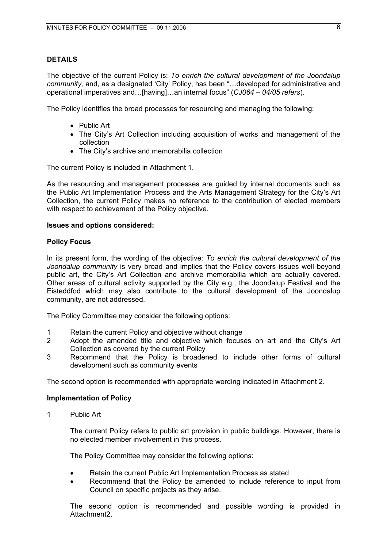#### **DETAILS**

The objective of the current Policy is: *To enrich the cultural development of the Joondalup community,* and, as a designated 'City' Policy, has been "…developed for administrative and operational imperatives and…[having]…an internal focus" (*CJ064 – 04/05 refers*).

The Policy identifies the broad processes for resourcing and managing the following:

- Public Art
- The City's Art Collection including acquisition of works and management of the collection
- The City's archive and memorabilia collection

The current Policy is included in Attachment 1.

As the resourcing and management processes are guided by internal documents such as the Public Art Implementation Process and the Arts Management Strategy for the City's Art Collection, the current Policy makes no reference to the contribution of elected members with respect to achievement of the Policy objective.

#### **Issues and options considered:**

#### **Policy Focus**

In its present form, the wording of the objective: *To enrich the cultural development of the Joondalup community* is very broad and implies that the Policy covers issues well beyond public art, the City's Art Collection and archive memorabilia which are actually covered. Other areas of cultural activity supported by the City e.g., the Joondalup Festival and the Eisteddfod which may also contribute to the cultural development of the Joondalup community, are not addressed.

The Policy Committee may consider the following options:

- 1 Retain the current Policy and objective without change
- 2 Adopt the amended title and objective which focuses on art and the City's Art Collection as covered by the current Policy
- 3 Recommend that the Policy is broadened to include other forms of cultural development such as community events

The second option is recommended with appropriate wording indicated in Attachment 2.

#### **Implementation of Policy**

1 Public Art

The current Policy refers to public art provision in public buildings. However, there is no elected member involvement in this process.

The Policy Committee may consider the following options:

- Retain the current Public Art Implementation Process as stated
- Recommend that the Policy be amended to include reference to input from Council on specific projects as they arise.

The second option is recommended and possible wording is provided in Attachment2.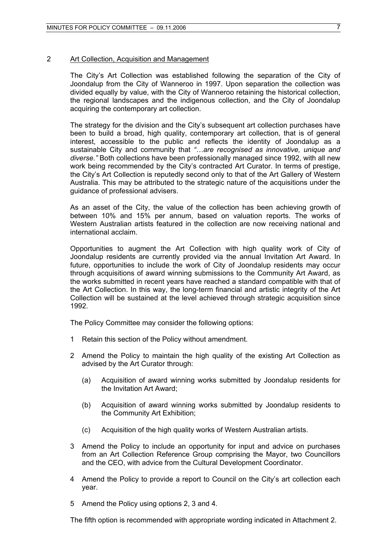#### 2 Art Collection, Acquisition and Management

The City's Art Collection was established following the separation of the City of Joondalup from the City of Wanneroo in 1997. Upon separation the collection was divided equally by value, with the City of Wanneroo retaining the historical collection, the regional landscapes and the indigenous collection, and the City of Joondalup acquiring the contemporary art collection.

The strategy for the division and the City's subsequent art collection purchases have been to build a broad, high quality, contemporary art collection, that is of general interest, accessible to the public and reflects the identity of Joondalup as a sustainable City and community that *"…are recognised as innovative, unique and diverse."* Both collections have been professionally managed since 1992, with all new work being recommended by the City's contracted Art Curator. In terms of prestige, the City's Art Collection is reputedly second only to that of the Art Gallery of Western Australia. This may be attributed to the strategic nature of the acquisitions under the guidance of professional advisers.

As an asset of the City, the value of the collection has been achieving growth of between 10% and 15% per annum, based on valuation reports. The works of Western Australian artists featured in the collection are now receiving national and international acclaim.

Opportunities to augment the Art Collection with high quality work of City of Joondalup residents are currently provided via the annual Invitation Art Award. In future, opportunities to include the work of City of Joondalup residents may occur through acquisitions of award winning submissions to the Community Art Award, as the works submitted in recent years have reached a standard compatible with that of the Art Collection. In this way, the long-term financial and artistic integrity of the Art Collection will be sustained at the level achieved through strategic acquisition since 1992.

The Policy Committee may consider the following options:

- 1 Retain this section of the Policy without amendment.
- 2 Amend the Policy to maintain the high quality of the existing Art Collection as advised by the Art Curator through:
	- (a) Acquisition of award winning works submitted by Joondalup residents for the Invitation Art Award;
	- (b) Acquisition of award winning works submitted by Joondalup residents to the Community Art Exhibition;
	- (c) Acquisition of the high quality works of Western Australian artists.
- 3 Amend the Policy to include an opportunity for input and advice on purchases from an Art Collection Reference Group comprising the Mayor, two Councillors and the CEO, with advice from the Cultural Development Coordinator.
- 4 Amend the Policy to provide a report to Council on the City's art collection each year.
- 5 Amend the Policy using options 2, 3 and 4.

The fifth option is recommended with appropriate wording indicated in Attachment 2.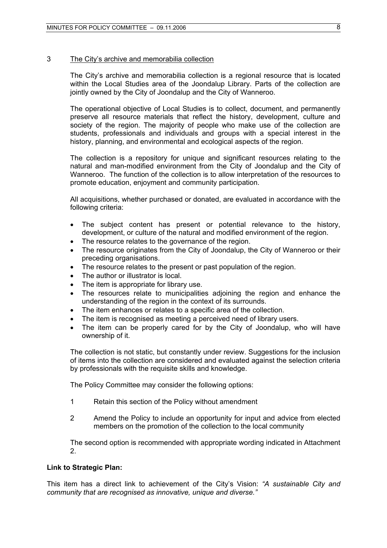#### 3 The City's archive and memorabilia collection

The City's archive and memorabilia collection is a regional resource that is located within the Local Studies area of the Joondalup Library. Parts of the collection are jointly owned by the City of Joondalup and the City of Wanneroo.

The operational objective of Local Studies is to collect, document, and permanently preserve all resource materials that reflect the history, development, culture and society of the region. The majority of people who make use of the collection are students, professionals and individuals and groups with a special interest in the history, planning, and environmental and ecological aspects of the region.

The collection is a repository for unique and significant resources relating to the natural and man-modified environment from the City of Joondalup and the City of Wanneroo. The function of the collection is to allow interpretation of the resources to promote education, enjoyment and community participation.

All acquisitions, whether purchased or donated, are evaluated in accordance with the following criteria:

- The subject content has present or potential relevance to the history, development, or culture of the natural and modified environment of the region.
- The resource relates to the governance of the region.
- The resource originates from the City of Joondalup, the City of Wanneroo or their preceding organisations.
- The resource relates to the present or past population of the region.
- The author or illustrator is local.
- The item is appropriate for library use.
- The resources relate to municipalities adjoining the region and enhance the understanding of the region in the context of its surrounds.
- The item enhances or relates to a specific area of the collection.
- The item is recognised as meeting a perceived need of library users.
- The item can be properly cared for by the City of Joondalup, who will have ownership of it.

The collection is not static, but constantly under review. Suggestions for the inclusion of items into the collection are considered and evaluated against the selection criteria by professionals with the requisite skills and knowledge.

The Policy Committee may consider the following options:

- 1 Retain this section of the Policy without amendment
- 2 Amend the Policy to include an opportunity for input and advice from elected members on the promotion of the collection to the local community

The second option is recommended with appropriate wording indicated in Attachment 2.

#### **Link to Strategic Plan:**

This item has a direct link to achievement of the City's Vision: *"A sustainable City and community that are recognised as innovative, unique and diverse."*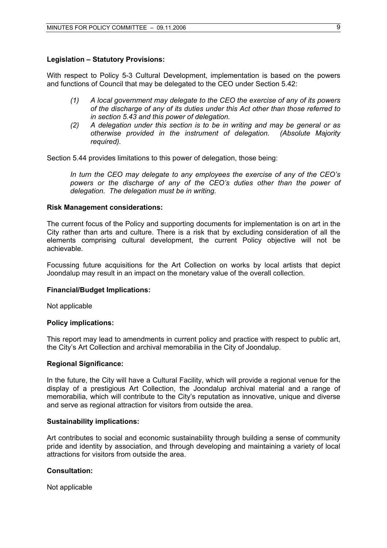# **Legislation – Statutory Provisions:**

With respect to Policy 5-3 Cultural Development, implementation is based on the powers and functions of Council that may be delegated to the CEO under Section 5.42:

- *(1) A local government may delegate to the CEO the exercise of any of its powers of the discharge of any of its duties under this Act other than those referred to in section 5.43 and this power of delegation.*
- *(2) A delegation under this section is to be in writing and may be general or as otherwise provided in the instrument of delegation. (Absolute Majority required).*

Section 5.44 provides limitations to this power of delegation, those being:

*In turn the CEO may delegate to any employees the exercise of any of the CEO's powers or the discharge of any of the CEO's duties other than the power of delegation. The delegation must be in writing.* 

#### **Risk Management considerations:**

The current focus of the Policy and supporting documents for implementation is on art in the City rather than arts and culture. There is a risk that by excluding consideration of all the elements comprising cultural development, the current Policy objective will not be achievable.

Focussing future acquisitions for the Art Collection on works by local artists that depict Joondalup may result in an impact on the monetary value of the overall collection.

#### **Financial/Budget Implications:**

Not applicable

#### **Policy implications:**

This report may lead to amendments in current policy and practice with respect to public art, the City's Art Collection and archival memorabilia in the City of Joondalup.

#### **Regional Significance:**

In the future, the City will have a Cultural Facility, which will provide a regional venue for the display of a prestigious Art Collection, the Joondalup archival material and a range of memorabilia, which will contribute to the City's reputation as innovative, unique and diverse and serve as regional attraction for visitors from outside the area.

#### **Sustainability implications:**

Art contributes to social and economic sustainability through building a sense of community pride and identity by association, and through developing and maintaining a variety of local attractions for visitors from outside the area.

### **Consultation:**

Not applicable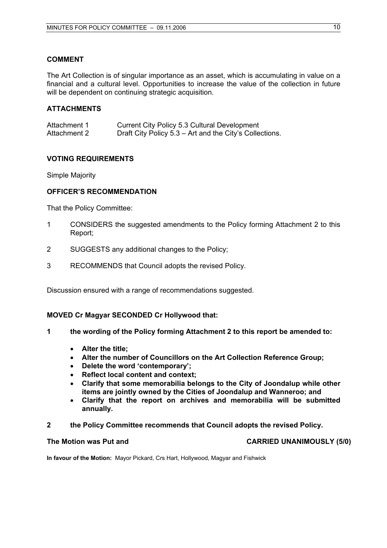## **COMMENT**

The Art Collection is of singular importance as an asset, which is accumulating in value on a financial and a cultural level. Opportunities to increase the value of the collection in future will be dependent on continuing strategic acquisition.

# **ATTACHMENTS**

| Attachment 1 | Current City Policy 5.3 Cultural Development            |
|--------------|---------------------------------------------------------|
| Attachment 2 | Draft City Policy 5.3 – Art and the City's Collections. |

## **VOTING REQUIREMENTS**

Simple Majority

## **OFFICER'S RECOMMENDATION**

That the Policy Committee:

- 1 CONSIDERS the suggested amendments to the Policy forming Attachment 2 to this Report;
- 2 SUGGESTS any additional changes to the Policy;
- 3 RECOMMENDS that Council adopts the revised Policy.

Discussion ensured with a range of recommendations suggested.

#### **MOVED Cr Magyar SECONDED Cr Hollywood that:**

- **1 the wording of the Policy forming Attachment 2 to this report be amended to:** 
	- **Alter the title;**
	- **Alter the number of Councillors on the Art Collection Reference Group;**
	- **Delete the word 'contemporary';**
	- **Reflect local content and context;**
	- **Clarify that some memorabilia belongs to the City of Joondalup while other items are jointly owned by the Cities of Joondalup and Wanneroo; and**
	- **Clarify that the report on archives and memorabilia will be submitted annually.**
- **2 the Policy Committee recommends that Council adopts the revised Policy.**

### The Motion was Put and **CARRIED UNANIMOUSLY** (5/0)

**In favour of the Motion:** Mayor Pickard, Crs Hart, Hollywood, Magyar and Fishwick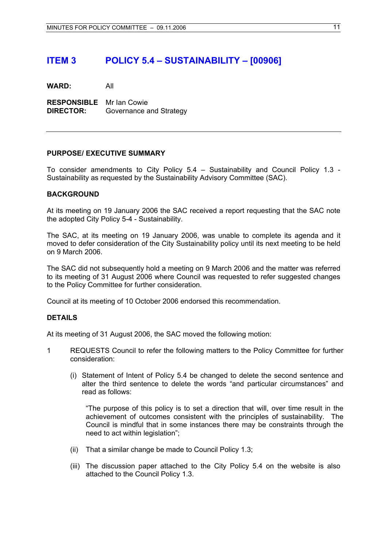# **ITEM 3 POLICY 5.4 – SUSTAINABILITY – [00906]**

**WARD:** All

**RESPONSIBLE** Mr Ian Cowie **DIRECTOR:** Governance and Strategy

## **PURPOSE/ EXECUTIVE SUMMARY**

To consider amendments to City Policy 5.4 – Sustainability and Council Policy 1.3 - Sustainability as requested by the Sustainability Advisory Committee (SAC).

#### **BACKGROUND**

At its meeting on 19 January 2006 the SAC received a report requesting that the SAC note the adopted City Policy 5-4 - Sustainability.

The SAC, at its meeting on 19 January 2006, was unable to complete its agenda and it moved to defer consideration of the City Sustainability policy until its next meeting to be held on 9 March 2006.

The SAC did not subsequently hold a meeting on 9 March 2006 and the matter was referred to its meeting of 31 August 2006 where Council was requested to refer suggested changes to the Policy Committee for further consideration.

Council at its meeting of 10 October 2006 endorsed this recommendation.

#### **DETAILS**

At its meeting of 31 August 2006, the SAC moved the following motion:

- 1 REQUESTS Council to refer the following matters to the Policy Committee for further consideration:
	- (i) Statement of Intent of Policy 5.4 be changed to delete the second sentence and alter the third sentence to delete the words "and particular circumstances" and read as follows:

"The purpose of this policy is to set a direction that will, over time result in the achievement of outcomes consistent with the principles of sustainability. The Council is mindful that in some instances there may be constraints through the need to act within legislation";

- (ii) That a similar change be made to Council Policy 1.3;
- (iii) The discussion paper attached to the City Policy 5.4 on the website is also attached to the Council Policy 1.3.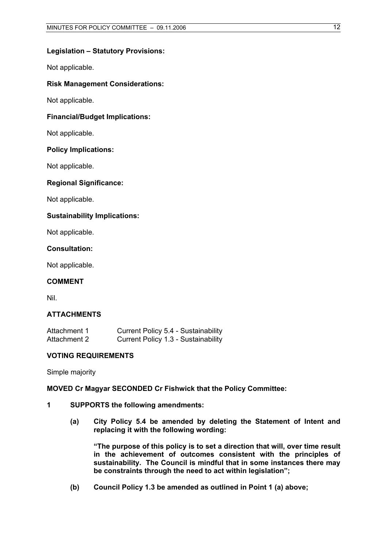#### **Legislation – Statutory Provisions:**

Not applicable.

#### **Risk Management Considerations:**

Not applicable.

### **Financial/Budget Implications:**

Not applicable.

#### **Policy Implications:**

Not applicable.

#### **Regional Significance:**

Not applicable.

#### **Sustainability Implications:**

Not applicable.

#### **Consultation:**

Not applicable.

# **COMMENT**

Nil.

#### **ATTACHMENTS**

| Attachment 1 | Current Policy 5.4 - Sustainability |
|--------------|-------------------------------------|
| Attachment 2 | Current Policy 1.3 - Sustainability |

### **VOTING REQUIREMENTS**

Simple majority

#### **MOVED Cr Magyar SECONDED Cr Fishwick that the Policy Committee:**

- **1 SUPPORTS the following amendments:** 
	- **(a) City Policy 5.4 be amended by deleting the Statement of Intent and replacing it with the following wording:**

**"The purpose of this policy is to set a direction that will, over time result in the achievement of outcomes consistent with the principles of sustainability. The Council is mindful that in some instances there may be constraints through the need to act within legislation";** 

**(b) Council Policy 1.3 be amended as outlined in Point 1 (a) above;**